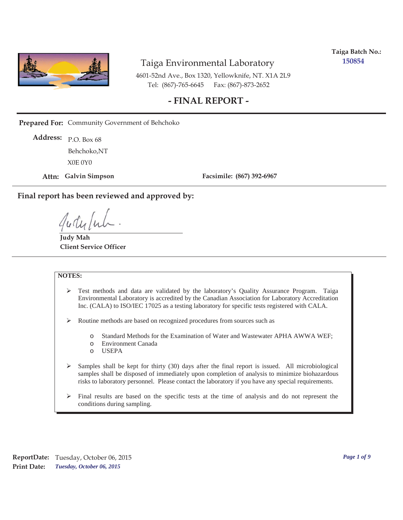

**Taiga Batch No.: 150854**

4601-52nd Ave., Box 1320, Yellowknife, NT. X1A 2L9 Tel: (867)-765-6645 Fax: (867)-873-2652

#### **- FINAL REPORT -**

**Prepared For:** Community Government of Behchoko

P.O. Box 68 **Address:** X0E 0Y0 Behchoko,NT

**Attn: Galvin Simpson**

**Facsimile: (867) 392-6967**

**Final report has been reviewed and approved by:**

**Judy Mah Client Service Officer**

#### **NOTES:**

- ¾ Test methods and data are validated by the laboratory's Quality Assurance Program. Taiga Environmental Laboratory is accredited by the Canadian Association for Laboratory Accreditation Inc. (CALA) to ISO/IEC 17025 as a testing laboratory for specific tests registered with CALA.
- ¾ Routine methods are based on recognized procedures from sources such as
	- o Standard Methods for the Examination of Water and Wastewater APHA AWWA WEF;
	- o Environment Canada
	- o USEPA
- $\triangleright$  Samples shall be kept for thirty (30) days after the final report is issued. All microbiological samples shall be disposed of immediately upon completion of analysis to minimize biohazardous risks to laboratory personnel. Please contact the laboratory if you have any special requirements.
- $\triangleright$  Final results are based on the specific tests at the time of analysis and do not represent the conditions during sampling.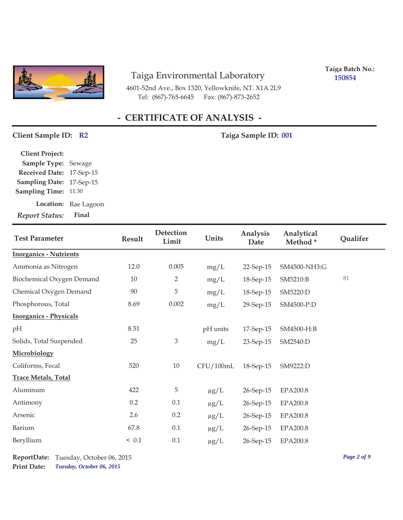

4601-52nd Ave., Box 1320, Yellowknife, NT. X1A 2L9 Tel: (867)-765-6645 Fax: (867)-873-2652

**Taiga Batch No.: 150854**

# **- CERTIFICATE OF ANALYSIS -**

#### Client Sample ID: R2 Taiga Sample ID: 001

| <b>Report Status:</b>    | Final                |
|--------------------------|----------------------|
|                          | Location: Rae Lagoon |
| <b>Sampling Time:</b>    | 11:30                |
| Sampling Date: 17-Sep-15 |                      |
| Received Date: 17-Sep-15 |                      |
| Sample Type: Sewage      |                      |
| <b>Client Project:</b>   |                      |

| <b>Test Parameter</b>         | Result | <b>Detection</b><br>Limit | Units     | Analysis<br>Date | Analytical<br>Method* | Qualifer |
|-------------------------------|--------|---------------------------|-----------|------------------|-----------------------|----------|
| <b>Inorganics - Nutrients</b> |        |                           |           |                  |                       |          |
| Ammonia as Nitrogen           | 12.0   | 0.005                     | mg/L      | 22-Sep-15        | SM4500-NH3:G          |          |
| Biochemical Oxygen Demand     | 10     | 2                         | mg/L      | 18-Sep-15        | SM5210:B              | 81       |
| Chemical Oxygen Demand        | 90     | 5                         | mg/L      | 18-Sep-15        | SM5220:D              |          |
| Phosphorous, Total            | 8.69   | 0.002                     | mg/L      | 29-Sep-15        | SM4500-P:D            |          |
| <b>Inorganics - Physicals</b> |        |                           |           |                  |                       |          |
| pH                            | 8.51   |                           | pH units  | 17-Sep-15        | SM4500-H:B            |          |
| Solids, Total Suspended       | 25     | $\mathfrak{Z}$            | mg/L      | 23-Sep-15        | SM2540:D              |          |
| Microbiology                  |        |                           |           |                  |                       |          |
| Coliforms, Fecal              | 520    | 10                        | CFU/100mL | 18-Sep-15        | SM9222:D              |          |
| <b>Trace Metals, Total</b>    |        |                           |           |                  |                       |          |
| Aluminum                      | 422    | 5                         | $\mu g/L$ | 26-Sep-15        | <b>EPA200.8</b>       |          |
| Antimony                      | 0.2    | 0.1                       | $\mu g/L$ | 26-Sep-15        | <b>EPA200.8</b>       |          |
| Arsenic                       | 2.6    | 0.2                       | $\mu g/L$ | 26-Sep-15        | EPA200.8              |          |
| Barium                        | 67.8   | 0.1                       | $\mu$ g/L | 26-Sep-15        | <b>EPA200.8</b>       |          |
| Beryllium                     | < 0.1  | 0.1                       | $\mu g/L$ | 26-Sep-15        | EPA200.8              |          |

*Tuesday, October 06, 2015* **Print Date: ReportDate:** Tuesday, October 06, 2015 *Page 2 of 9*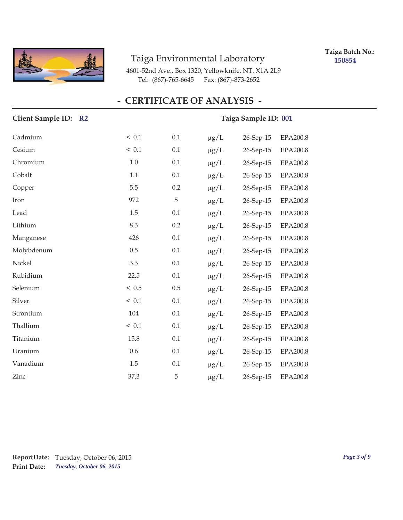

**Taiga Batch No.: 150854**

4601-52nd Ave., Box 1320, Yellowknife, NT. X1A 2L9 Tel: (867)-765-6645 Fax: (867)-873-2652

| Client Sample ID: R2 |         |             |           | Taiga Sample ID: 001 |                 |
|----------------------|---------|-------------|-----------|----------------------|-----------------|
| Cadmium              | ~< 0.1  | 0.1         | $\mu g/L$ | 26-Sep-15            | EPA200.8        |
| Cesium               | ~< 0.1  | 0.1         | $\mu g/L$ | 26-Sep-15            | EPA200.8        |
| Chromium             | 1.0     | 0.1         | $\mu g/L$ | 26-Sep-15            | EPA200.8        |
| Cobalt               | 1.1     | 0.1         | $\mu g/L$ | 26-Sep-15            | <b>EPA200.8</b> |
| Copper               | 5.5     | 0.2         | $\mu$ g/L | 26-Sep-15            | EPA200.8        |
| Iron                 | 972     | $\mathbf 5$ | $\mu g/L$ | 26-Sep-15            | EPA200.8        |
| Lead                 | 1.5     | 0.1         | $\mu g/L$ | 26-Sep-15            | EPA200.8        |
| Lithium              | 8.3     | 0.2         | $\mu g/L$ | 26-Sep-15            | EPA200.8        |
| Manganese            | 426     | 0.1         | $\mu$ g/L | 26-Sep-15            | EPA200.8        |
| Molybdenum           | $0.5\,$ | 0.1         | $\mu$ g/L | 26-Sep-15            | EPA200.8        |
| Nickel               | 3.3     | 0.1         | $\mu g/L$ | 26-Sep-15            | EPA200.8        |
| Rubidium             | 22.5    | 0.1         | $\mu g/L$ | 26-Sep-15            | EPA200.8        |
| Selenium             | < 0.5   | 0.5         | $\mu$ g/L | 26-Sep-15            | EPA200.8        |
| Silver               | < 0.1   | 0.1         | $\mu g/L$ | 26-Sep-15            | EPA200.8        |
| Strontium            | 104     | 0.1         | $\mu g/L$ | 26-Sep-15            | EPA200.8        |
| Thallium             | < 0.1   | 0.1         | $\mu g/L$ | 26-Sep-15            | EPA200.8        |
| Titanium             | 15.8    | 0.1         | $\mu g/L$ | 26-Sep-15            | EPA200.8        |
| Uranium              | 0.6     | 0.1         | $\mu g/L$ | 26-Sep-15            | EPA200.8        |
| Vanadium             | 1.5     | 0.1         | $\mu g/L$ | 26-Sep-15            | <b>EPA200.8</b> |
| Zinc                 | 37.3    | 5           | $\mu$ g/L | 26-Sep-15            | EPA200.8        |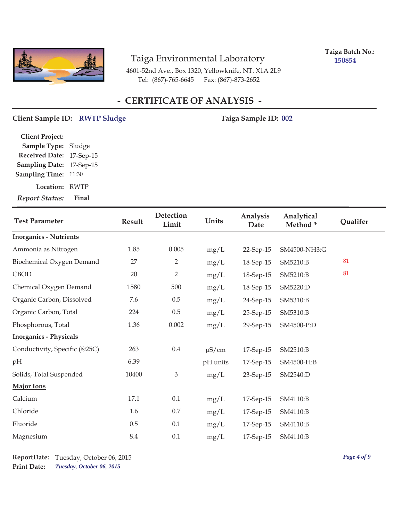

**Taiga Batch No.: 150854**

4601-52nd Ave., Box 1320, Yellowknife, NT. X1A 2L9 Tel: (867)-765-6645 Fax: (867)-873-2652

## **- CERTIFICATE OF ANALYSIS -**

#### Client Sample ID: RWTP Sludge **1988** Taiga Sample ID: 002

| <b>Client Project:</b> |             |
|------------------------|-------------|
| <b>Sample Type:</b>    | Sludge      |
| <b>Received Date:</b>  | 17-Sep-15   |
| <b>Sampling Date:</b>  | 17-Sep-15   |
| <b>Sampling Time:</b>  | 11:30       |
| Location:              | <b>RWTP</b> |
| <b>Report Status:</b>  | Final       |

| <b>Test Parameter</b>         | <b>Detection</b><br>Units<br>Result<br>Limit |                | Analysis<br>Date | Analytical<br>Method* | Qualifer     |    |
|-------------------------------|----------------------------------------------|----------------|------------------|-----------------------|--------------|----|
| <b>Inorganics - Nutrients</b> |                                              |                |                  |                       |              |    |
| Ammonia as Nitrogen           | 1.85                                         | 0.005          | mg/L             | 22-Sep-15             | SM4500-NH3:G |    |
| Biochemical Oxygen Demand     | 27                                           | 2              | mg/L             | 18-Sep-15             | SM5210:B     | 81 |
| CBOD                          | 20                                           | $\overline{2}$ | mg/L             | 18-Sep-15             | SM5210:B     | 81 |
| Chemical Oxygen Demand        | 1580                                         | 500            | mg/L             | 18-Sep-15             | SM5220:D     |    |
| Organic Carbon, Dissolved     | 7.6                                          | $0.5\,$        | mg/L             | 24-Sep-15             | SM5310:B     |    |
| Organic Carbon, Total         | 224                                          | $0.5\,$        | mg/L             | 25-Sep-15             | SM5310:B     |    |
| Phosphorous, Total            | 1.36                                         | 0.002          | mg/L             | 29-Sep-15             | SM4500-P:D   |    |
| <b>Inorganics - Physicals</b> |                                              |                |                  |                       |              |    |
| Conductivity, Specific (@25C) | 263                                          | $0.4\,$        | $\mu$ S/cm       | 17-Sep-15             | SM2510:B     |    |
| pН                            | 6.39                                         |                | pH units         | 17-Sep-15             | SM4500-H:B   |    |
| Solids, Total Suspended       | 10400                                        | $\mathfrak{Z}$ | mg/L             | 23-Sep-15             | SM2540:D     |    |
| <b>Major Ions</b>             |                                              |                |                  |                       |              |    |
| Calcium                       | 17.1                                         | 0.1            | mg/L             | 17-Sep-15             | SM4110:B     |    |
| Chloride                      | 1.6                                          | $0.7\,$        | mg/L             | 17-Sep-15             | SM4110:B     |    |
| Fluoride                      | 0.5                                          | 0.1            | mg/L             | 17-Sep-15             | SM4110:B     |    |
| Magnesium                     | 8.4                                          | $0.1\,$        | mg/L             | 17-Sep-15             | SM4110:B     |    |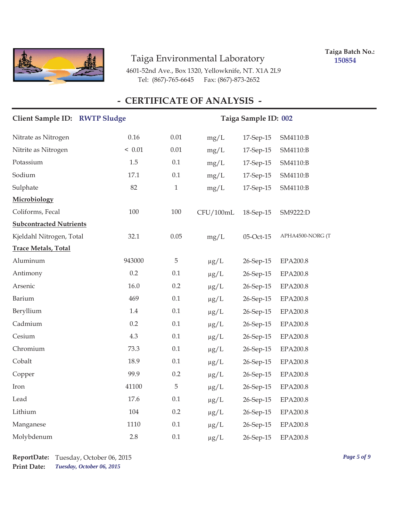

**Taiga Batch No.: 150854**

4601-52nd Ave., Box 1320, Yellowknife, NT. X1A 2L9 Tel: (867)-765-6645 Fax: (867)-873-2652

| Client Sample ID: RWTP Sludge  |        | Taiga Sample ID: 002 |           |           |                  |  |
|--------------------------------|--------|----------------------|-----------|-----------|------------------|--|
| Nitrate as Nitrogen            | 0.16   | 0.01                 | mg/L      | 17-Sep-15 | SM4110:B         |  |
| Nitrite as Nitrogen            | < 0.01 | 0.01                 | mg/L      | 17-Sep-15 | SM4110:B         |  |
| Potassium                      | 1.5    | 0.1                  | mg/L      | 17-Sep-15 | SM4110:B         |  |
| Sodium                         | 17.1   | 0.1                  | mg/L      | 17-Sep-15 | SM4110:B         |  |
| Sulphate                       | 82     | $\mathbf{1}$         | mg/L      | 17-Sep-15 | SM4110:B         |  |
| Microbiology                   |        |                      |           |           |                  |  |
| Coliforms, Fecal               | 100    | 100                  | CFU/100mL | 18-Sep-15 | SM9222:D         |  |
| <b>Subcontracted Nutrients</b> |        |                      |           |           |                  |  |
| Kjeldahl Nitrogen, Total       | 32.1   | 0.05                 | mg/L      | 05-Oct-15 | APHA4500-NORG (T |  |
| <b>Trace Metals, Total</b>     |        |                      |           |           |                  |  |
| Aluminum                       | 943000 | $\overline{5}$       | $\mu g/L$ | 26-Sep-15 | EPA200.8         |  |
| Antimony                       | 0.2    | 0.1                  | $\mu g/L$ | 26-Sep-15 | EPA200.8         |  |
| Arsenic                        | 16.0   | 0.2                  | $\mu g/L$ | 26-Sep-15 | EPA200.8         |  |
| Barium                         | 469    | 0.1                  | $\mu g/L$ | 26-Sep-15 | <b>EPA200.8</b>  |  |
| Beryllium                      | 1.4    | 0.1                  | $\mu g/L$ | 26-Sep-15 | <b>EPA200.8</b>  |  |
| Cadmium                        | 0.2    | 0.1                  | $\mu g/L$ | 26-Sep-15 | EPA200.8         |  |
| Cesium                         | 4.3    | 0.1                  | $\mu g/L$ | 26-Sep-15 | EPA200.8         |  |
| Chromium                       | 73.3   | 0.1                  | $\mu g/L$ | 26-Sep-15 | EPA200.8         |  |
| Cobalt                         | 18.9   | 0.1                  | $\mu g/L$ | 26-Sep-15 | EPA200.8         |  |
| Copper                         | 99.9   | 0.2                  | $\mu g/L$ | 26-Sep-15 | EPA200.8         |  |
| Iron                           | 41100  | $\overline{5}$       | $\mu g/L$ | 26-Sep-15 | EPA200.8         |  |
| Lead                           | 17.6   | 0.1                  | $\mu g/L$ | 26-Sep-15 | EPA200.8         |  |
| Lithium                        | 104    | 0.2                  | $\mu g/L$ | 26-Sep-15 | EPA200.8         |  |
| Manganese                      | 1110   | 0.1                  | $\mu g/L$ | 26-Sep-15 | EPA200.8         |  |
| Molybdenum                     | 2.8    | 0.1                  | $\mu$ g/L | 26-Sep-15 | EPA200.8         |  |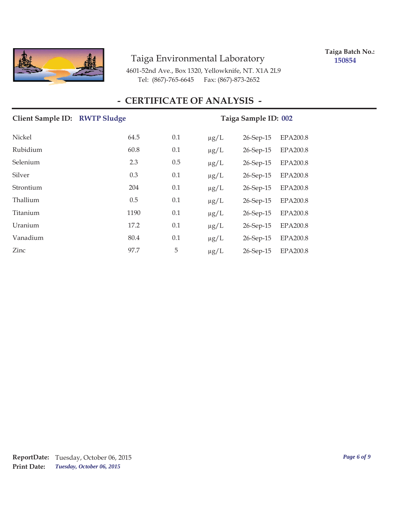

**Taiga Batch No.: 150854**

4601-52nd Ave., Box 1320, Yellowknife, NT. X1A 2L9 Tel: (867)-765-6645 Fax: (867)-873-2652

| Client Sample ID: RWTP Sludge |      |     | Taiga Sample ID: 002                      |
|-------------------------------|------|-----|-------------------------------------------|
| Nickel                        | 64.5 | 0.1 | $\mu g/L$<br>26-Sep-15<br><b>EPA200.8</b> |
| Rubidium                      | 60.8 | 0.1 | <b>EPA200.8</b><br>$\mu g/L$<br>26-Sep-15 |
| Selenium                      | 2.3  | 0.5 | $\mu g/L$<br><b>EPA200.8</b><br>26-Sep-15 |
| Silver                        | 0.3  | 0.1 | $\mu$ g/L<br><b>EPA200.8</b><br>26-Sep-15 |
| Strontium                     | 204  | 0.1 | $\mu g/L$<br>26-Sep-15<br><b>EPA200.8</b> |
| Thallium                      | 0.5  | 0.1 | $\mu g/L$<br><b>EPA200.8</b><br>26-Sep-15 |
| Titanium                      | 1190 | 0.1 | $\mu g/L$<br>26-Sep-15<br>EPA200.8        |
| Uranium                       | 17.2 | 0.1 | <b>EPA200.8</b><br>$\mu$ g/L<br>26-Sep-15 |
| Vanadium                      | 80.4 | 0.1 | $\mu g/L$<br><b>EPA200.8</b><br>26-Sep-15 |
| Zinc                          | 97.7 | 5   | <b>EPA200.8</b><br>26-Sep-15<br>$\mu$ g/L |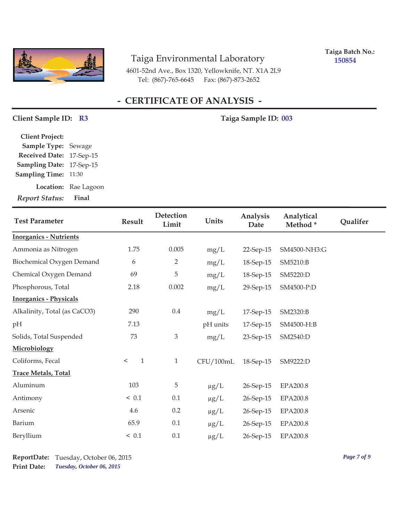

**Taiga Batch No.: 150854**

4601-52nd Ave., Box 1320, Yellowknife, NT. X1A 2L9 Tel: (867)-765-6645 Fax: (867)-873-2652

# **- CERTIFICATE OF ANALYSIS -**

#### Client Sample ID: R3 Taiga Sample ID: 003

| <b>Client Project:</b> |                      |
|------------------------|----------------------|
| Sample Type: Sewage    |                      |
| <b>Received Date:</b>  | 17-Sep-15            |
| <b>Sampling Date:</b>  | 17-Sep-15            |
| <b>Sampling Time:</b>  | 11:30                |
|                        | Location: Rae Lagoon |
| <b>Report Status:</b>  | Final                |

| <b>Test Parameter</b>         | Detection<br>Units<br>Result<br>Limit |                | Analysis<br>Date | Analytical<br>Method* | Qualifer        |  |
|-------------------------------|---------------------------------------|----------------|------------------|-----------------------|-----------------|--|
| <b>Inorganics - Nutrients</b> |                                       |                |                  |                       |                 |  |
| Ammonia as Nitrogen           | 1.75                                  | 0.005          | mg/L             | 22-Sep-15             | SM4500-NH3:G    |  |
| Biochemical Oxygen Demand     | 6                                     | $\overline{2}$ | mg/L             | 18-Sep-15             | SM5210:B        |  |
| Chemical Oxygen Demand        | 69                                    | 5              | mg/L             | 18-Sep-15             | SM5220:D        |  |
| Phosphorous, Total            | 2.18                                  | 0.002          | mg/L             | 29-Sep-15             | SM4500-P:D      |  |
| <b>Inorganics - Physicals</b> |                                       |                |                  |                       |                 |  |
| Alkalinity, Total (as CaCO3)  | 290                                   | $0.4\,$        | mg/L             | 17-Sep-15             | SM2320:B        |  |
| pН                            | 7.13                                  |                | pH units         | 17-Sep-15             | SM4500-H:B      |  |
| Solids, Total Suspended       | 73                                    | $\mathfrak{Z}$ | mg/L             | 23-Sep-15             | SM2540:D        |  |
| Microbiology                  |                                       |                |                  |                       |                 |  |
| Coliforms, Fecal              | $\mathbf{1}$<br>$\,<$                 | $\mathbf{1}$   | CFU/100mL        | 18-Sep-15             | SM9222:D        |  |
| <b>Trace Metals, Total</b>    |                                       |                |                  |                       |                 |  |
| Aluminum                      | 103                                   | 5              | $\mu g/L$        | 26-Sep-15             | <b>EPA200.8</b> |  |
| Antimony                      | < 0.1                                 | $0.1\,$        | $\mu g/L$        | 26-Sep-15             | <b>EPA200.8</b> |  |
| Arsenic                       | 4.6                                   | 0.2            | $\mu g/L$        | 26-Sep-15             | EPA200.8        |  |
| Barium                        | 65.9                                  | 0.1            | $\mu g/L$        | 26-Sep-15             | EPA200.8        |  |
| Beryllium                     | < 0.1                                 | 0.1            | $\mu$ g/L        | 26-Sep-15             | EPA200.8        |  |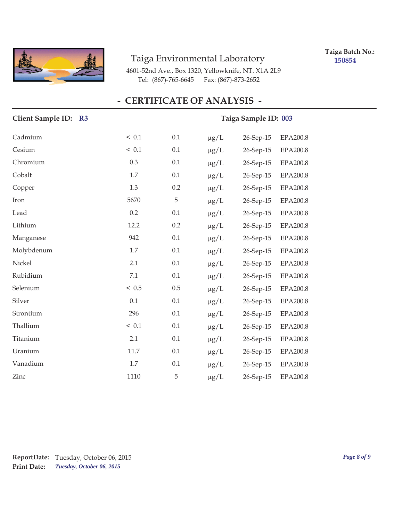

**Taiga Batch No.: 150854**

4601-52nd Ave., Box 1320, Yellowknife, NT. X1A 2L9 Tel: (867)-765-6645 Fax: (867)-873-2652

| Client Sample ID: R3 |        |     |           | Taiga Sample ID: 003 |                 |
|----------------------|--------|-----|-----------|----------------------|-----------------|
| Cadmium              | ~< 0.1 | 0.1 | $\mu g/L$ | 26-Sep-15            | EPA200.8        |
| Cesium               | ~< 0.1 | 0.1 | $\mu g/L$ | 26-Sep-15            | <b>EPA200.8</b> |
| Chromium             | 0.3    | 0.1 | $\mu g/L$ | 26-Sep-15            | EPA200.8        |
| Cobalt               | 1.7    | 0.1 | $\mu g/L$ | 26-Sep-15            | EPA200.8        |
| Copper               | 1.3    | 0.2 | $\mu$ g/L | 26-Sep-15            | EPA200.8        |
| Iron                 | 5670   | 5   | $\mu g/L$ | 26-Sep-15            | EPA200.8        |
| Lead                 | 0.2    | 0.1 | $\mu g/L$ | 26-Sep-15            | EPA200.8        |
| Lithium              | 12.2   | 0.2 | $\mu g/L$ | 26-Sep-15            | EPA200.8        |
| Manganese            | 942    | 0.1 | $\mu$ g/L | 26-Sep-15            | EPA200.8        |
| Molybdenum           | 1.7    | 0.1 | $\mu$ g/L | 26-Sep-15            | EPA200.8        |
| Nickel               | 2.1    | 0.1 | $\mu g/L$ | 26-Sep-15            | EPA200.8        |
| Rubidium             | 7.1    | 0.1 | $\mu g/L$ | 26-Sep-15            | EPA200.8        |
| Selenium             | < 0.5  | 0.5 | $\mu$ g/L | 26-Sep-15            | <b>EPA200.8</b> |
| Silver               | 0.1    | 0.1 | $\mu g/L$ | 26-Sep-15            | EPA200.8        |
| Strontium            | 296    | 0.1 | $\mu g/L$ | 26-Sep-15            | EPA200.8        |
| Thallium             | < 0.1  | 0.1 | $\mu g/L$ | 26-Sep-15            | EPA200.8        |
| Titanium             | 2.1    | 0.1 | $\mu$ g/L | 26-Sep-15            | <b>EPA200.8</b> |
| Uranium              | 11.7   | 0.1 | $\mu g/L$ | 26-Sep-15            | EPA200.8        |
| Vanadium             | 1.7    | 0.1 | $\mu g/L$ | 26-Sep-15            | <b>EPA200.8</b> |
| Zinc                 | 1110   | 5   | $\mu$ g/L | 26-Sep-15            | EPA200.8        |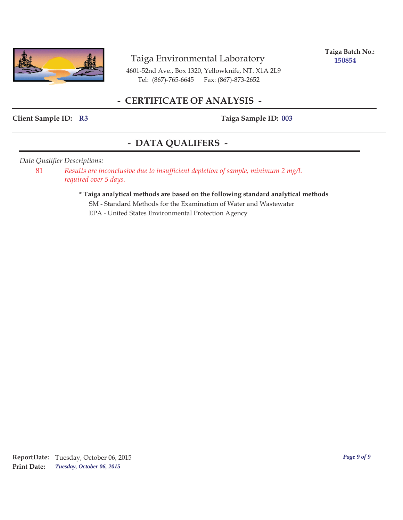

**Taiga Batch No.: 150854**

4601-52nd Ave., Box 1320, Yellowknife, NT. X1A 2L9 Tel: (867)-765-6645 Fax: (867)-873-2652

#### **- CERTIFICATE OF ANALYSIS -**

#### Client Sample ID: R3 Taiga Sample ID: 003

#### **- DATA QUALIFERS -**

#### *Data Qualifier Descriptions:*

81 *Results are inconclusive due to insufficient depletion of sample, minimum 2 mg/L required over 5 days.*

> **\* Taiga analytical methods are based on the following standard analytical methods** SM - Standard Methods for the Examination of Water and Wastewater EPA - United States Environmental Protection Agency